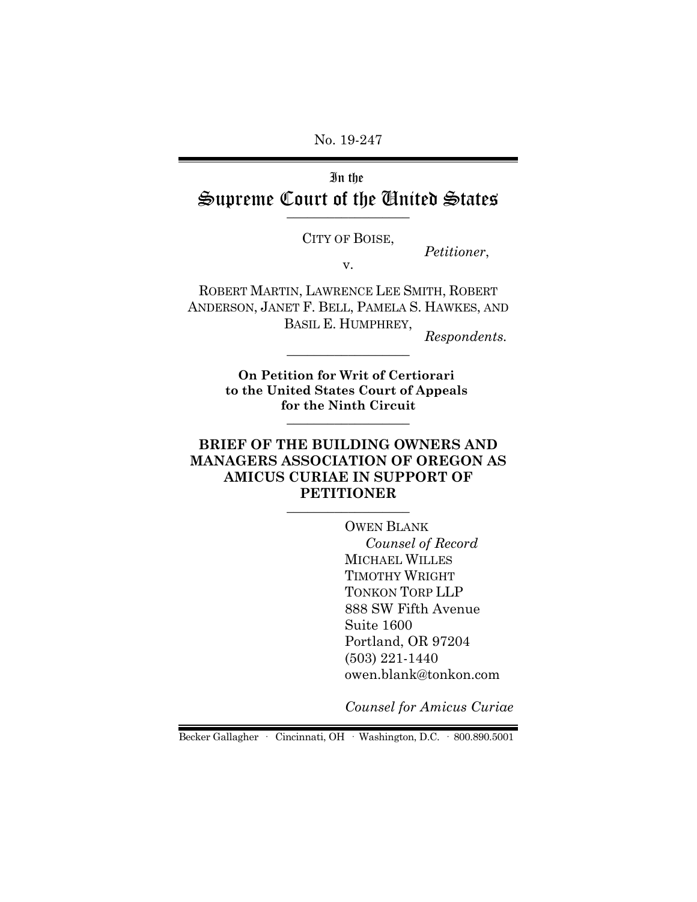No. 19-247

# In the Supreme Court of the United States

CITY OF BOISE, *Petitioner*, v.

ROBERT MARTIN, LAWRENCE LEE SMITH, ROBERT ANDERSON, JANET F. BELL, PAMELA S. HAWKES, AND BASIL E. HUMPHREY, Respondents.

**On Petition for Writ of Certiorari to the United States Court of Appeals for the Ninth Circuit** \_\_\_\_\_\_\_\_\_\_\_\_\_\_\_\_\_\_

### **BRIEF OF THE BUILDING OWNERS AND MANAGERS ASSOCIATION OF OREGON AS AMICUS CURIAE IN SUPPORT OF PETITIONER**  $\_$

OWEN BLANK *Counsel of Record* MICHAEL WILLES TIMOTHY WRIGHT TONKON TORP LLP 888 SW Fifth Avenue Suite 1600 Portland, OR 97204 (503) 221-1440 owen.blank@tonkon.com

*Counsel for Amicus Curiae* 

Becker Gallagher · Cincinnati, OH · Washington, D.C. · 800.890.5001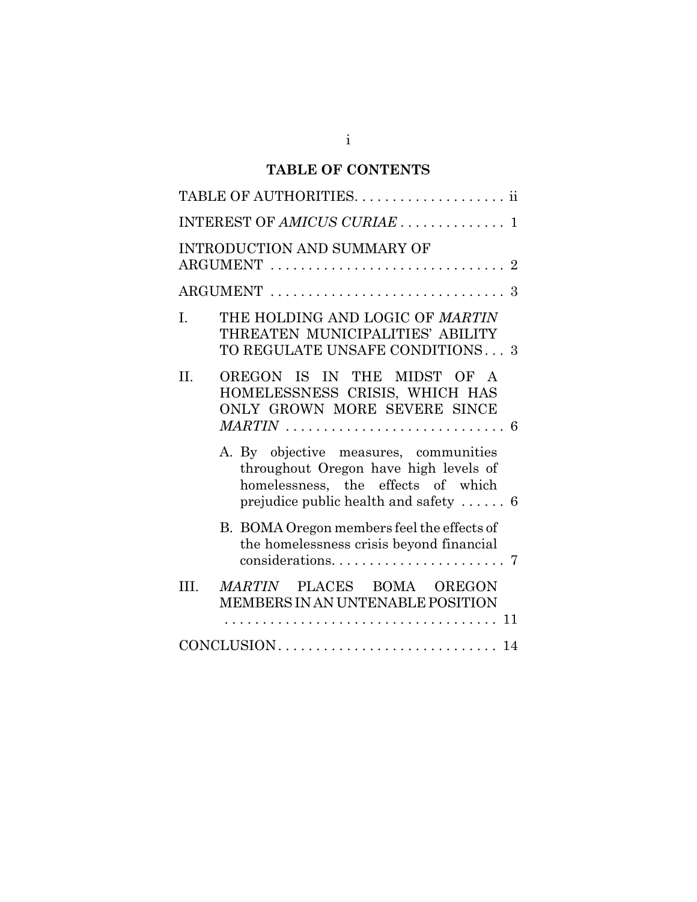## **TABLE OF CONTENTS**

|      | INTEREST OF AMICUS CURIAE  1                                                                                                                                               |  |
|------|----------------------------------------------------------------------------------------------------------------------------------------------------------------------------|--|
|      | <b>INTRODUCTION AND SUMMARY OF</b>                                                                                                                                         |  |
|      |                                                                                                                                                                            |  |
| I.   | THE HOLDING AND LOGIC OF MARTIN<br>THREATEN MUNICIPALITIES' ABILITY<br>TO REGULATE UNSAFE CONDITIONS3                                                                      |  |
| II.  | OREGON IS IN THE MIDST OF A<br>HOMELESSNESS CRISIS, WHICH HAS<br>ONLY GROWN MORE SEVERE SINCE                                                                              |  |
|      | A. By objective measures, communities<br>throughout Oregon have high levels of<br>homelessness, the effects of which<br>prejudice public health and safety $\dots \dots 6$ |  |
|      | B. BOMA Oregon members feel the effects of<br>the homelessness crisis beyond financial                                                                                     |  |
| III. | MARTIN PLACES BOMA OREGON<br>MEMBERS IN AN UNTENABLE POSITION<br>. 11<br>.                                                                                                 |  |
|      |                                                                                                                                                                            |  |
|      |                                                                                                                                                                            |  |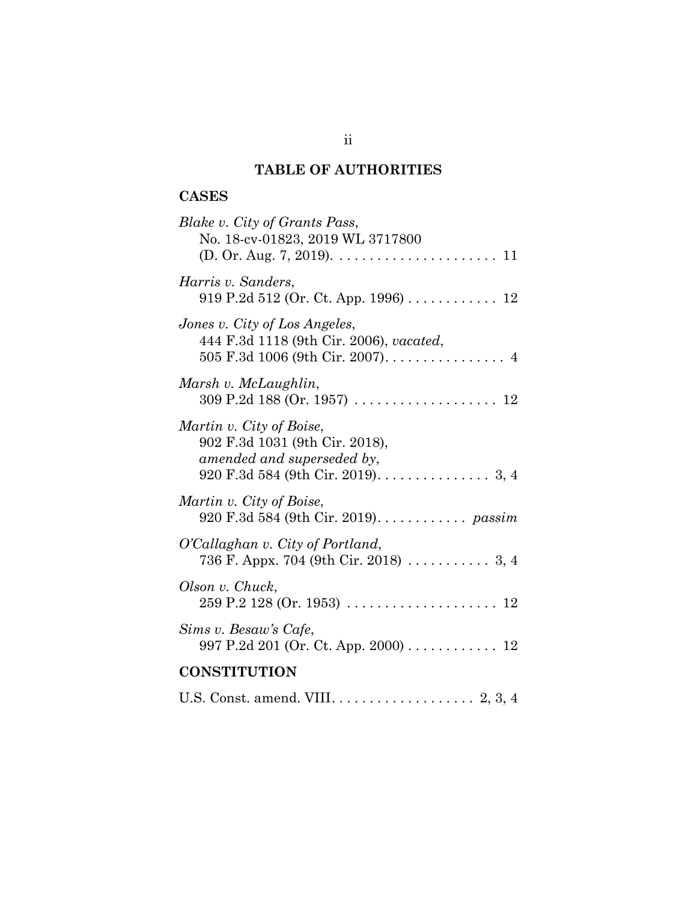## **TABLE OF AUTHORITIES**

## **CASES**

| Blake v. City of Grants Pass,<br>No. 18-cv-01823, 2019 WL 3717800                        |  |  |
|------------------------------------------------------------------------------------------|--|--|
| Harris v. Sanders,<br>919 P.2d 512 (Or. Ct. App. 1996) $\ldots \ldots \ldots \ldots 12$  |  |  |
| Jones v. City of Los Angeles,<br>444 F.3d 1118 (9th Cir. 2006), vacated,                 |  |  |
| Marsh v. McLaughlin,                                                                     |  |  |
| Martin v. City of Boise,<br>902 F.3d 1031 (9th Cir. 2018),<br>amended and superseded by, |  |  |
| Martin v. City of Boise,<br>920 F.3d 584 (9th Cir. 2019). <i>passim</i>                  |  |  |
| O'Callaghan v. City of Portland,<br>736 F. Appx. 704 (9th Cir. 2018)  3, 4               |  |  |
| Olson v. Chuck,                                                                          |  |  |
| Sims v. Besaw's Cafe,<br>997 P.2d 201 (Or. Ct. App. 2000) 12                             |  |  |
| <b>CONSTITUTION</b>                                                                      |  |  |
|                                                                                          |  |  |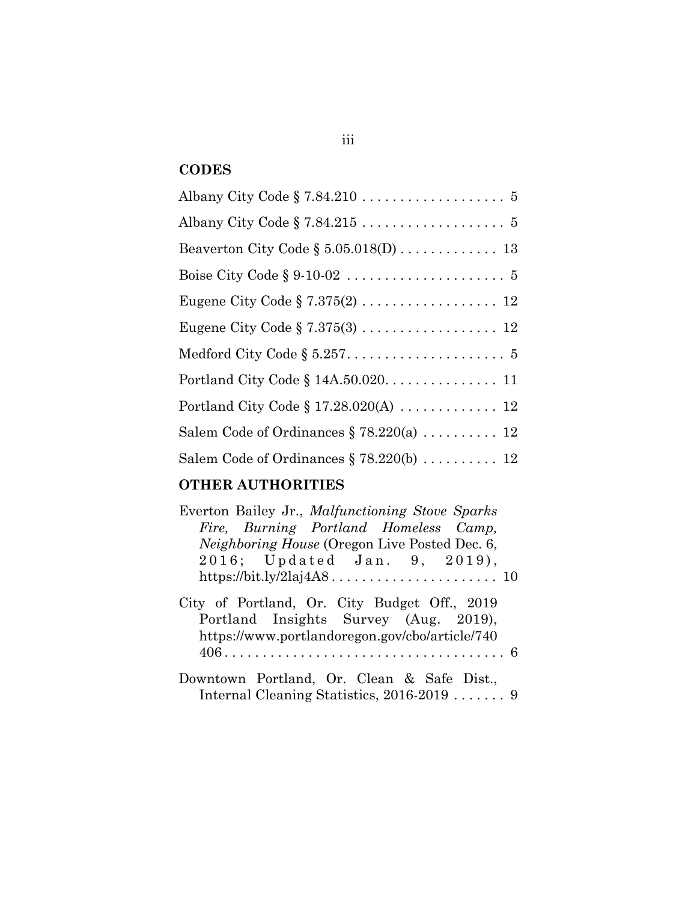## **CODES**

| Eugene City Code $\S 7.375(2) \ldots \ldots \ldots \ldots \ldots 12$        |
|-----------------------------------------------------------------------------|
| Eugene City Code $\S 7.375(3) \ldots \ldots \ldots \ldots \ldots \ldots 12$ |
|                                                                             |
|                                                                             |
|                                                                             |
| Salem Code of Ordinances $\S 78.220(a)$ 12                                  |
| Salem Code of Ordinances $\S$ 78.220(b)  12                                 |

## **OTHER AUTHORITIES**

| Everton Bailey Jr., Malfunctioning Stove Sparks                                                                                         |
|-----------------------------------------------------------------------------------------------------------------------------------------|
| Fire, Burning Portland Homeless Camp,                                                                                                   |
| <i>Neighboring House</i> (Oregon Live Posted Dec. 6,                                                                                    |
| 2016; Updated Jan. 9, 2019),                                                                                                            |
|                                                                                                                                         |
| City of Portland, Or. City Budget Off., 2019<br>Portland Insights Survey (Aug. 2019),<br>https://www.portlandoregon.gov/cbo/article/740 |
|                                                                                                                                         |
| Downtown Portland, Or. Clean & Safe Dist.,<br>Internal Cleaning Statistics, $2016-2019$ $\ldots$                                        |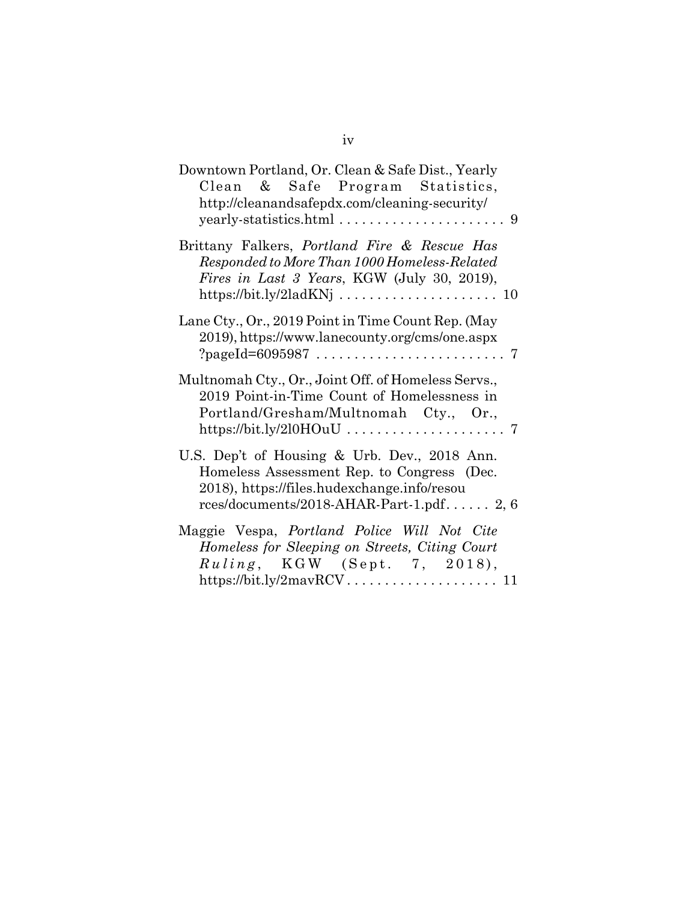| Downtown Portland, Or. Clean & Safe Dist., Yearly<br>Clean & Safe Program Statistics,<br>http://cleanandsafepdx.com/cleaning-security/                                                  |
|-----------------------------------------------------------------------------------------------------------------------------------------------------------------------------------------|
|                                                                                                                                                                                         |
| Brittany Falkers, <i>Portland Fire &amp; Rescue Has</i><br>Responded to More Than 1000 Homeless-Related<br>Fires in Last 3 Years, KGW (July 30, 2019),                                  |
| Lane Cty., Or., 2019 Point in Time Count Rep. (May<br>2019), https://www.lanecounty.org/cms/one.aspx                                                                                    |
| Multnomah Cty., Or., Joint Off. of Homeless Servs.,<br>2019 Point-in-Time Count of Homelessness in<br>Portland/Gresham/Multnomah Cty., Or.,                                             |
| U.S. Dep't of Housing & Urb. Dev., 2018 Ann.<br>Homeless Assessment Rep. to Congress (Dec.<br>2018), https://files.hudexchange.info/resou<br>rces/documents/2018-AHAR-Part-1.pdf $2, 6$ |
| Maggie Vespa, Portland Police Will Not Cite<br>Homeless for Sleeping on Streets, Citing Court<br>Ruling, KGW (Sept. 7, 2018),                                                           |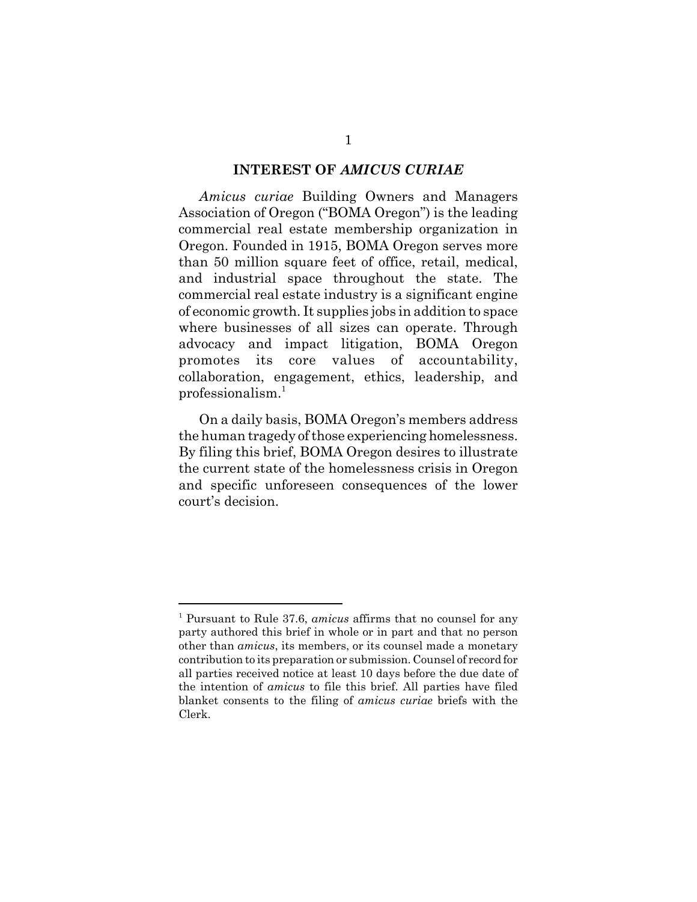#### **INTEREST OF** *AMICUS CURIAE*

*Amicus curiae* Building Owners and Managers Association of Oregon ("BOMA Oregon") is the leading commercial real estate membership organization in Oregon. Founded in 1915, BOMA Oregon serves more than 50 million square feet of office, retail, medical, and industrial space throughout the state. The commercial real estate industry is a significant engine of economic growth. It supplies jobs in addition to space where businesses of all sizes can operate. Through advocacy and impact litigation, BOMA Oregon promotes its core values of accountability, collaboration, engagement, ethics, leadership, and professionalism.<sup>1</sup>

On a daily basis, BOMA Oregon's members address the human tragedy of those experiencing homelessness. By filing this brief, BOMA Oregon desires to illustrate the current state of the homelessness crisis in Oregon and specific unforeseen consequences of the lower court's decision.

<sup>1</sup> Pursuant to Rule 37.6, *amicus* affirms that no counsel for any party authored this brief in whole or in part and that no person other than *amicus*, its members, or its counsel made a monetary contribution to its preparation or submission. Counsel of record for all parties received notice at least 10 days before the due date of the intention of *amicus* to file this brief. All parties have filed blanket consents to the filing of *amicus curiae* briefs with the Clerk.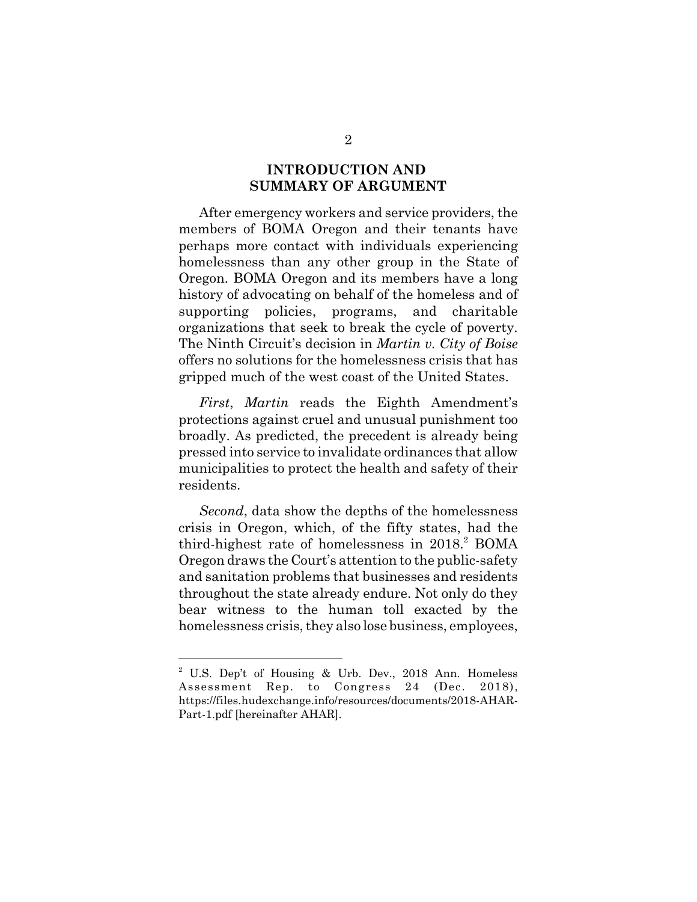### **INTRODUCTION AND SUMMARY OF ARGUMENT**

After emergency workers and service providers, the members of BOMA Oregon and their tenants have perhaps more contact with individuals experiencing homelessness than any other group in the State of Oregon. BOMA Oregon and its members have a long history of advocating on behalf of the homeless and of supporting policies, programs, and charitable organizations that seek to break the cycle of poverty. The Ninth Circuit's decision in *Martin v. City of Boise* offers no solutions for the homelessness crisis that has gripped much of the west coast of the United States.

*First*, *Martin* reads the Eighth Amendment's protections against cruel and unusual punishment too broadly. As predicted, the precedent is already being pressed into service to invalidate ordinances that allow municipalities to protect the health and safety of their residents.

*Second*, data show the depths of the homelessness crisis in Oregon, which, of the fifty states, had the third-highest rate of homelessness in  $2018$ .<sup>2</sup> BOMA Oregon draws the Court's attention to the public-safety and sanitation problems that businesses and residents throughout the state already endure. Not only do they bear witness to the human toll exacted by the homelessness crisis, they also lose business, employees,

<sup>&</sup>lt;sup>2</sup> U.S. Dep't of Housing & Urb. Dev., 2018 Ann. Homeless Assessment Rep. to Congress 24 (Dec. 2018), https://files.hudexchange.info/resources/documents/2018-AHAR-Part-1.pdf [hereinafter AHAR].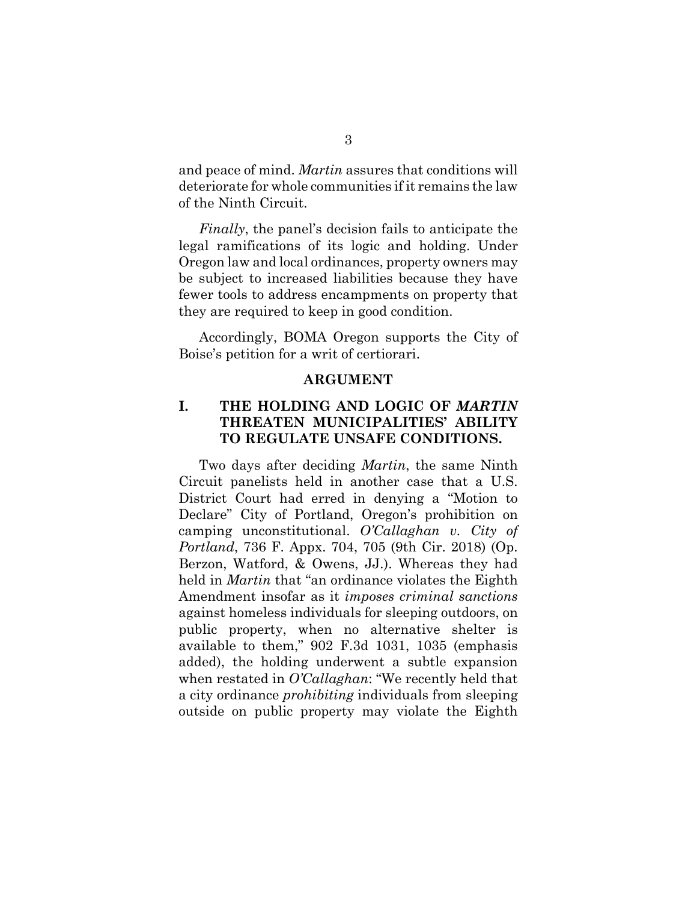and peace of mind. *Martin* assures that conditions will deteriorate for whole communities if it remains the law of the Ninth Circuit.

*Finally*, the panel's decision fails to anticipate the legal ramifications of its logic and holding. Under Oregon law and local ordinances, property owners may be subject to increased liabilities because they have fewer tools to address encampments on property that they are required to keep in good condition.

Accordingly, BOMA Oregon supports the City of Boise's petition for a writ of certiorari.

#### **ARGUMENT**

## **I. THE HOLDING AND LOGIC OF** *MARTIN* **THREATEN MUNICIPALITIES' ABILITY TO REGULATE UNSAFE CONDITIONS.**

Two days after deciding *Martin*, the same Ninth Circuit panelists held in another case that a U.S. District Court had erred in denying a "Motion to Declare" City of Portland, Oregon's prohibition on camping unconstitutional. *O'Callaghan v. City of Portland*, 736 F. Appx. 704, 705 (9th Cir. 2018) (Op. Berzon, Watford, & Owens, JJ.). Whereas they had held in *Martin* that "an ordinance violates the Eighth Amendment insofar as it *imposes criminal sanctions* against homeless individuals for sleeping outdoors, on public property, when no alternative shelter is available to them," 902 F.3d 1031, 1035 (emphasis added), the holding underwent a subtle expansion when restated in *O'Callaghan*: "We recently held that a city ordinance *prohibiting* individuals from sleeping outside on public property may violate the Eighth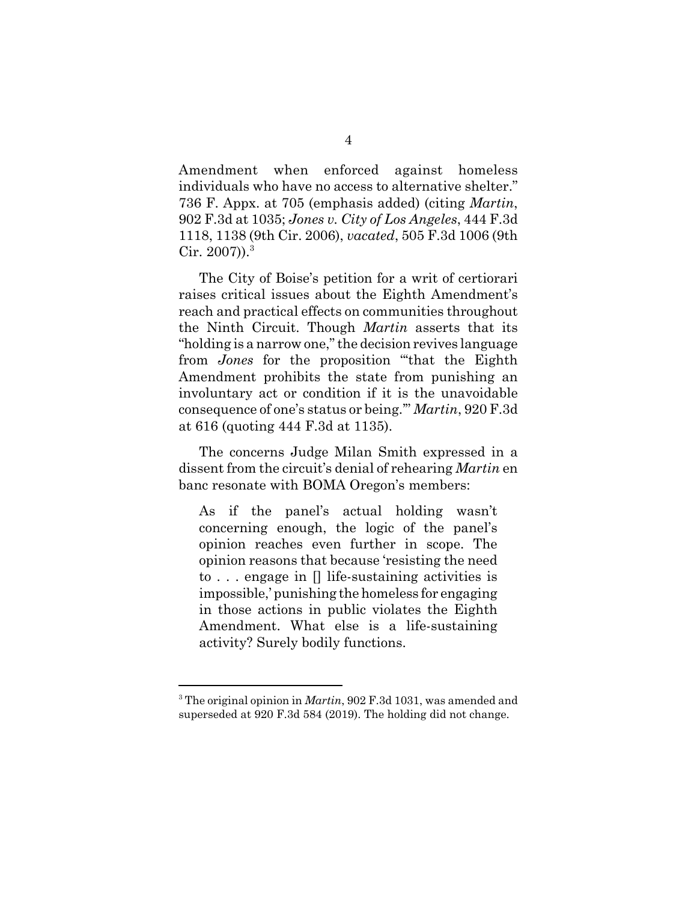Amendment when enforced against homeless individuals who have no access to alternative shelter." 736 F. Appx. at 705 (emphasis added) (citing *Martin*, 902 F.3d at 1035; *Jones v. City of Los Angeles*, 444 F.3d 1118, 1138 (9th Cir. 2006), *vacated*, 505 F.3d 1006 (9th Cir.  $2007$ )).<sup>3</sup>

The City of Boise's petition for a writ of certiorari raises critical issues about the Eighth Amendment's reach and practical effects on communities throughout the Ninth Circuit. Though *Martin* asserts that its "holding is a narrow one," the decision revives language from *Jones* for the proposition "'that the Eighth Amendment prohibits the state from punishing an involuntary act or condition if it is the unavoidable consequence of one's status or being.'" *Martin*, 920 F.3d at 616 (quoting 444 F.3d at 1135).

The concerns Judge Milan Smith expressed in a dissent from the circuit's denial of rehearing *Martin* en banc resonate with BOMA Oregon's members:

As if the panel's actual holding wasn't concerning enough, the logic of the panel's opinion reaches even further in scope. The opinion reasons that because 'resisting the need to . . . engage in [] life-sustaining activities is impossible,' punishing the homeless for engaging in those actions in public violates the Eighth Amendment. What else is a life-sustaining activity? Surely bodily functions.

<sup>3</sup> The original opinion in *Martin*, 902 F.3d 1031, was amended and superseded at 920 F.3d 584 (2019). The holding did not change.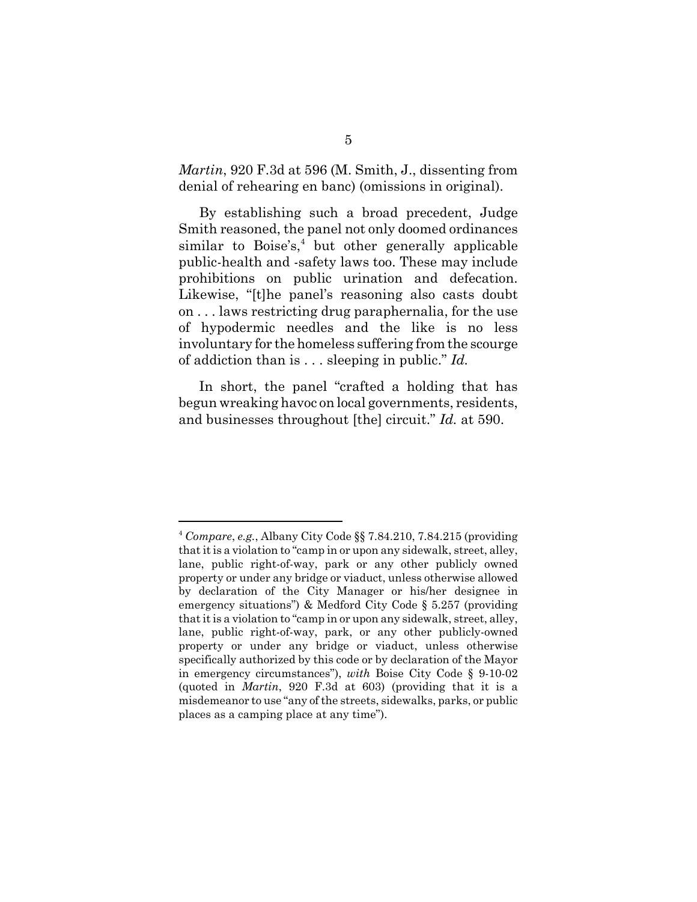*Martin*, 920 F.3d at 596 (M. Smith, J., dissenting from denial of rehearing en banc) (omissions in original).

By establishing such a broad precedent, Judge Smith reasoned, the panel not only doomed ordinances similar to Boise's,<sup>4</sup> but other generally applicable public-health and -safety laws too. These may include prohibitions on public urination and defecation. Likewise, "[t]he panel's reasoning also casts doubt on . . . laws restricting drug paraphernalia, for the use of hypodermic needles and the like is no less involuntary for the homeless suffering from the scourge of addiction than is . . . sleeping in public." *Id.*

In short, the panel "crafted a holding that has begun wreaking havoc on local governments, residents, and businesses throughout [the] circuit." *Id.* at 590.

<sup>4</sup> *Compare*, *e.g.*, Albany City Code §§ 7.84.210, 7.84.215 (providing that it is a violation to "camp in or upon any sidewalk, street, alley, lane, public right-of-way, park or any other publicly owned property or under any bridge or viaduct, unless otherwise allowed by declaration of the City Manager or his/her designee in emergency situations") & Medford City Code § 5.257 (providing that it is a violation to "camp in or upon any sidewalk, street, alley, lane, public right-of-way, park, or any other publicly-owned property or under any bridge or viaduct, unless otherwise specifically authorized by this code or by declaration of the Mayor in emergency circumstances"), *with* Boise City Code § 9-10-02 (quoted in *Martin*, 920 F.3d at 603) (providing that it is a misdemeanor to use "any of the streets, sidewalks, parks, or public places as a camping place at any time").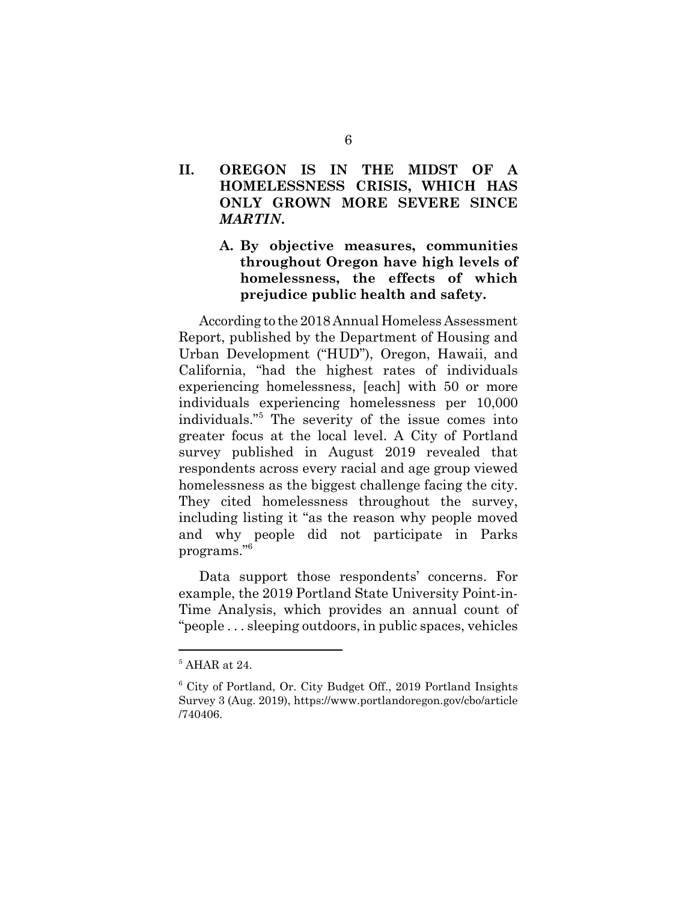## **II. OREGON IS IN THE MIDST OF A HOMELESSNESS CRISIS, WHICH HAS ONLY GROWN MORE SEVERE SINCE** *MARTIN***.**

## **A. By objective measures, communities throughout Oregon have high levels of homelessness, the effects of which prejudice public health and safety.**

According to the 2018 Annual Homeless Assessment Report, published by the Department of Housing and Urban Development ("HUD"), Oregon, Hawaii, and California, "had the highest rates of individuals experiencing homelessness, [each] with 50 or more individuals experiencing homelessness per 10,000 individuals."<sup>5</sup> The severity of the issue comes into greater focus at the local level. A City of Portland survey published in August 2019 revealed that respondents across every racial and age group viewed homelessness as the biggest challenge facing the city. They cited homelessness throughout the survey, including listing it "as the reason why people moved and why people did not participate in Parks programs."6

Data support those respondents' concerns. For example, the 2019 Portland State University Point-in-Time Analysis, which provides an annual count of "people . . . sleeping outdoors, in public spaces, vehicles

 $5$  AHAR at 24.

<sup>6</sup> City of Portland, Or. City Budget Off., 2019 Portland Insights Survey 3 (Aug. 2019), https://www.portlandoregon.gov/cbo/article /740406.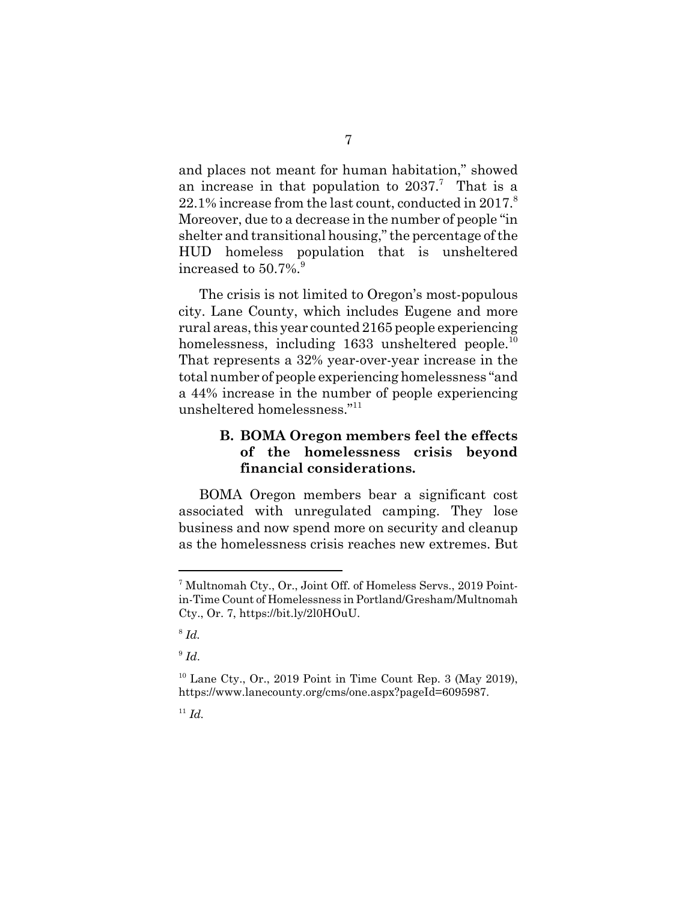and places not meant for human habitation," showed an increase in that population to  $2037$ .<sup>7</sup> That is a  $22.1\%$  increase from the last count, conducted in 2017.<sup>8</sup> Moreover, due to a decrease in the number of people "in shelter and transitional housing," the percentage of the HUD homeless population that is unsheltered increased to  $50.7\%$ .

The crisis is not limited to Oregon's most-populous city. Lane County, which includes Eugene and more rural areas, this year counted 2165 people experiencing homelessness, including  $1633$  unsheltered people.<sup>10</sup> That represents a 32% year-over-year increase in the total number of people experiencing homelessness "and a 44% increase in the number of people experiencing unsheltered homelessness."11

### **B. BOMA Oregon members feel the effects of the homelessness crisis beyond financial considerations.**

BOMA Oregon members bear a significant cost associated with unregulated camping. They lose business and now spend more on security and cleanup as the homelessness crisis reaches new extremes. But

<sup>&</sup>lt;sup>7</sup> Multnomah Cty., Or., Joint Off. of Homeless Servs., 2019 Pointin-Time Count of Homelessness in Portland/Gresham/Multnomah Cty., Or. 7, https://bit.ly/2l0HOuU.

<sup>8</sup> *Id.* 

 $9$   $Id.$ 

 $10$  Lane Cty., Or., 2019 Point in Time Count Rep. 3 (May 2019). https://www.lanecounty.org/cms/one.aspx?pageId=6095987.

 $11$  *Id.*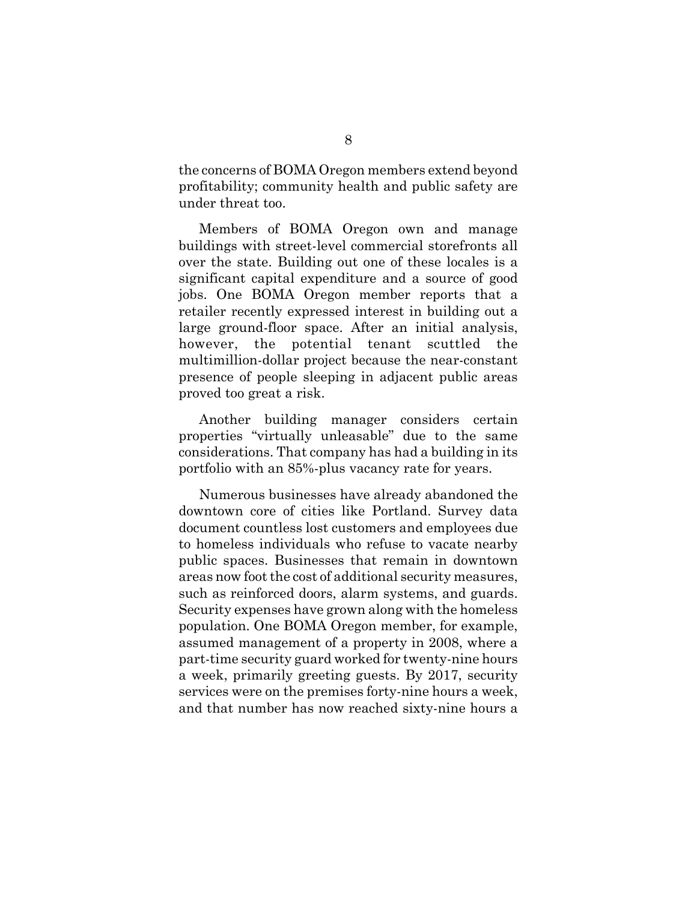the concerns of BOMA Oregon members extend beyond profitability; community health and public safety are under threat too.

Members of BOMA Oregon own and manage buildings with street-level commercial storefronts all over the state. Building out one of these locales is a significant capital expenditure and a source of good jobs. One BOMA Oregon member reports that a retailer recently expressed interest in building out a large ground-floor space. After an initial analysis, however, the potential tenant scuttled the multimillion-dollar project because the near-constant presence of people sleeping in adjacent public areas proved too great a risk.

Another building manager considers certain properties "virtually unleasable" due to the same considerations. That company has had a building in its portfolio with an 85%-plus vacancy rate for years.

Numerous businesses have already abandoned the downtown core of cities like Portland. Survey data document countless lost customers and employees due to homeless individuals who refuse to vacate nearby public spaces. Businesses that remain in downtown areas now foot the cost of additional security measures, such as reinforced doors, alarm systems, and guards. Security expenses have grown along with the homeless population. One BOMA Oregon member, for example, assumed management of a property in 2008, where a part-time security guard worked for twenty-nine hours a week, primarily greeting guests. By 2017, security services were on the premises forty-nine hours a week, and that number has now reached sixty-nine hours a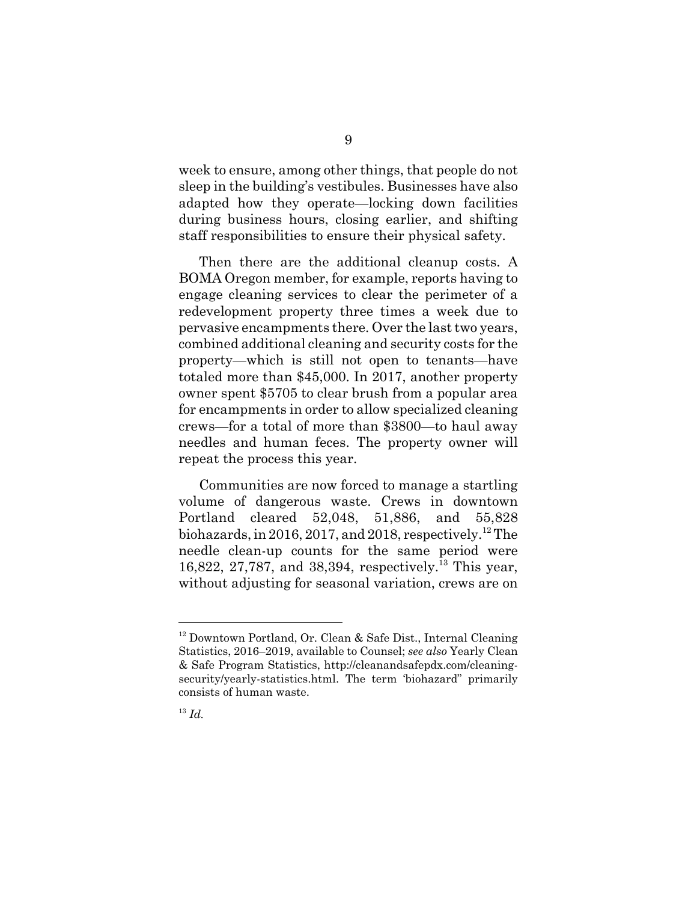week to ensure, among other things, that people do not sleep in the building's vestibules. Businesses have also adapted how they operate—locking down facilities during business hours, closing earlier, and shifting staff responsibilities to ensure their physical safety.

Then there are the additional cleanup costs. A BOMA Oregon member, for example, reports having to engage cleaning services to clear the perimeter of a redevelopment property three times a week due to pervasive encampments there. Over the last two years, combined additional cleaning and security costs for the property—which is still not open to tenants—have totaled more than \$45,000. In 2017, another property owner spent \$5705 to clear brush from a popular area for encampments in order to allow specialized cleaning crews—for a total of more than \$3800—to haul away needles and human feces. The property owner will repeat the process this year.

Communities are now forced to manage a startling volume of dangerous waste. Crews in downtown Portland cleared 52,048, 51,886, and 55,828 biohazards, in 2016, 2017, and 2018, respectively.<sup>12</sup> The needle clean-up counts for the same period were 16,822, 27,787, and 38,394, respectively.13 This year, without adjusting for seasonal variation, crews are on

<sup>&</sup>lt;sup>12</sup> Downtown Portland, Or. Clean & Safe Dist., Internal Cleaning Statistics, 2016–2019, available to Counsel; *see also* Yearly Clean & Safe Program Statistics, http://cleanandsafepdx.com/cleaningsecurity/yearly-statistics.html. The term 'biohazard" primarily consists of human waste.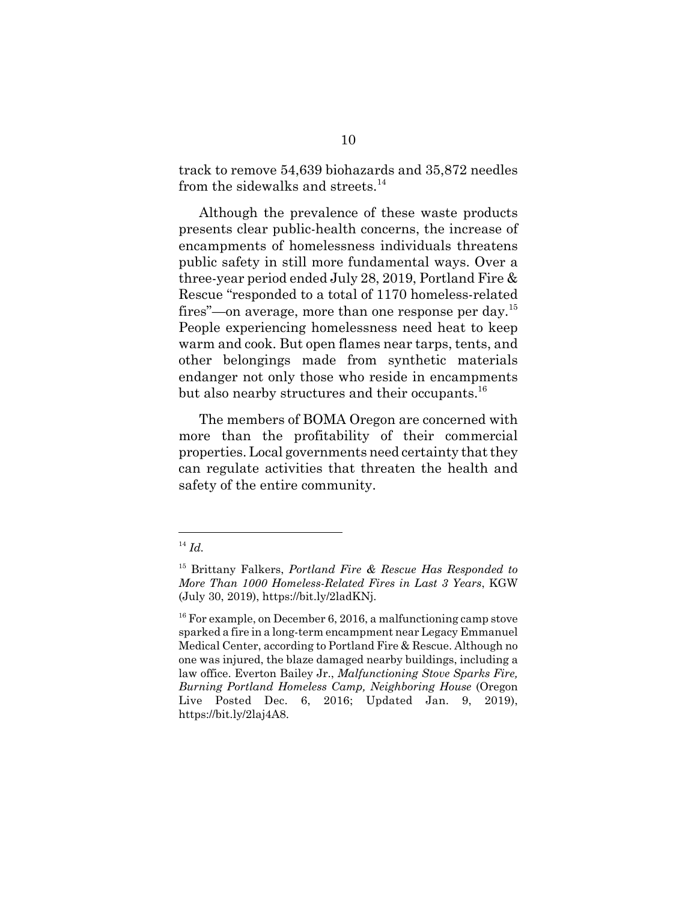track to remove 54,639 biohazards and 35,872 needles from the sidewalks and streets.<sup>14</sup>

Although the prevalence of these waste products presents clear public-health concerns, the increase of encampments of homelessness individuals threatens public safety in still more fundamental ways. Over a three-year period ended July 28, 2019, Portland Fire & Rescue "responded to a total of 1170 homeless-related fires"—on average, more than one response per day.<sup>15</sup> People experiencing homelessness need heat to keep warm and cook. But open flames near tarps, tents, and other belongings made from synthetic materials endanger not only those who reside in encampments but also nearby structures and their occupants.<sup>16</sup>

The members of BOMA Oregon are concerned with more than the profitability of their commercial properties. Local governments need certainty that they can regulate activities that threaten the health and safety of the entire community.

<sup>14</sup> *Id.*

<sup>15</sup> Brittany Falkers, *Portland Fire & Rescue Has Responded to More Than 1000 Homeless-Related Fires in Last 3 Years*, KGW (July 30, 2019), https://bit.ly/2ladKNj.

 $16$  For example, on December 6, 2016, a malfunctioning camp stove sparked a fire in a long-term encampment near Legacy Emmanuel Medical Center, according to Portland Fire & Rescue. Although no one was injured, the blaze damaged nearby buildings, including a law office. Everton Bailey Jr., *Malfunctioning Stove Sparks Fire, Burning Portland Homeless Camp, Neighboring House* (Oregon Live Posted Dec. 6, 2016; Updated Jan. 9, 2019), https://bit.ly/2laj4A8.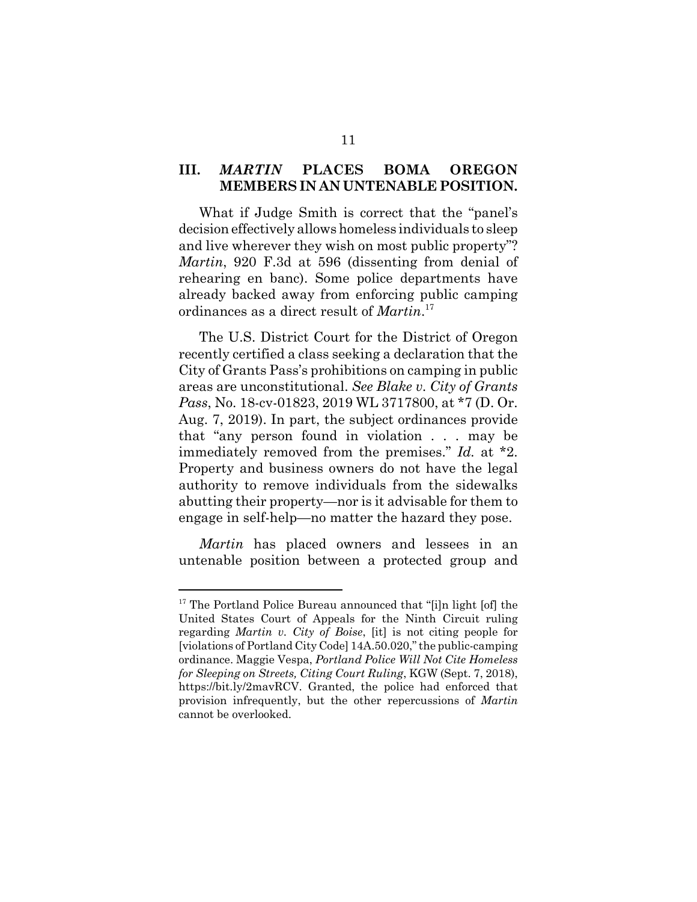### **III.** *MARTIN* **PLACES BOMA OREGON MEMBERS IN AN UNTENABLE POSITION.**

What if Judge Smith is correct that the "panel's decision effectively allows homeless individuals to sleep and live wherever they wish on most public property"? *Martin*, 920 F.3d at 596 (dissenting from denial of rehearing en banc). Some police departments have already backed away from enforcing public camping ordinances as a direct result of *Martin*. 17

The U.S. District Court for the District of Oregon recently certified a class seeking a declaration that the City of Grants Pass's prohibitions on camping in public areas are unconstitutional. *See Blake v. City of Grants Pass*, No. 18-cv-01823, 2019 WL 3717800, at \*7 (D. Or. Aug. 7, 2019). In part, the subject ordinances provide that "any person found in violation . . . may be immediately removed from the premises." *Id.* at \*2. Property and business owners do not have the legal authority to remove individuals from the sidewalks abutting their property—nor is it advisable for them to engage in self-help—no matter the hazard they pose.

*Martin* has placed owners and lessees in an untenable position between a protected group and

<sup>&</sup>lt;sup>17</sup> The Portland Police Bureau announced that "[i]n light [of] the United States Court of Appeals for the Ninth Circuit ruling regarding *Martin v. City of Boise*, [it] is not citing people for [violations of Portland City Code] 14A.50.020," the public-camping ordinance. Maggie Vespa, *Portland Police Will Not Cite Homeless for Sleeping on Streets, Citing Court Ruling*, KGW (Sept. 7, 2018), https://bit.ly/2mavRCV. Granted, the police had enforced that provision infrequently, but the other repercussions of *Martin* cannot be overlooked.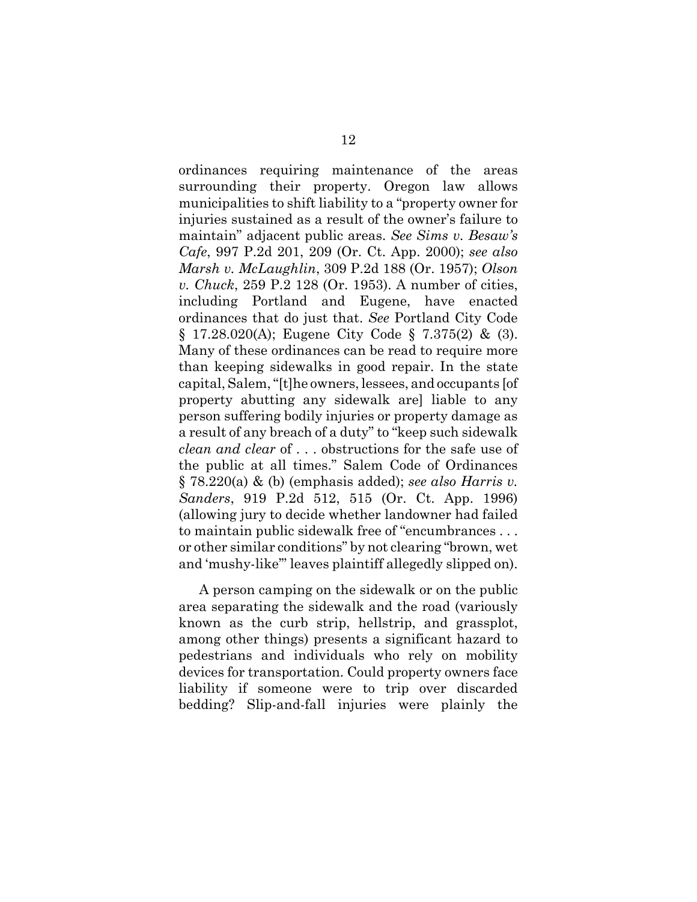ordinances requiring maintenance of the areas surrounding their property. Oregon law allows municipalities to shift liability to a "property owner for injuries sustained as a result of the owner's failure to maintain" adjacent public areas. *See Sims v. Besaw's Cafe*, 997 P.2d 201, 209 (Or. Ct. App. 2000); *see also Marsh v. McLaughlin*, 309 P.2d 188 (Or. 1957); *Olson v. Chuck*, 259 P.2 128 (Or. 1953). A number of cities, including Portland and Eugene, have enacted ordinances that do just that. *See* Portland City Code § 17.28.020(A); Eugene City Code § 7.375(2) & (3). Many of these ordinances can be read to require more than keeping sidewalks in good repair. In the state capital, Salem, "[t]he owners, lessees, and occupants [of property abutting any sidewalk are] liable to any person suffering bodily injuries or property damage as a result of any breach of a duty" to "keep such sidewalk *clean and clear* of . . . obstructions for the safe use of the public at all times." Salem Code of Ordinances § 78.220(a) & (b) (emphasis added); *see also Harris v. Sanders*, 919 P.2d 512, 515 (Or. Ct. App. 1996) (allowing jury to decide whether landowner had failed to maintain public sidewalk free of "encumbrances . . . or other similar conditions" by not clearing "brown, wet and 'mushy-like'" leaves plaintiff allegedly slipped on).

A person camping on the sidewalk or on the public area separating the sidewalk and the road (variously known as the curb strip, hellstrip, and grassplot, among other things) presents a significant hazard to pedestrians and individuals who rely on mobility devices for transportation. Could property owners face liability if someone were to trip over discarded bedding? Slip-and-fall injuries were plainly the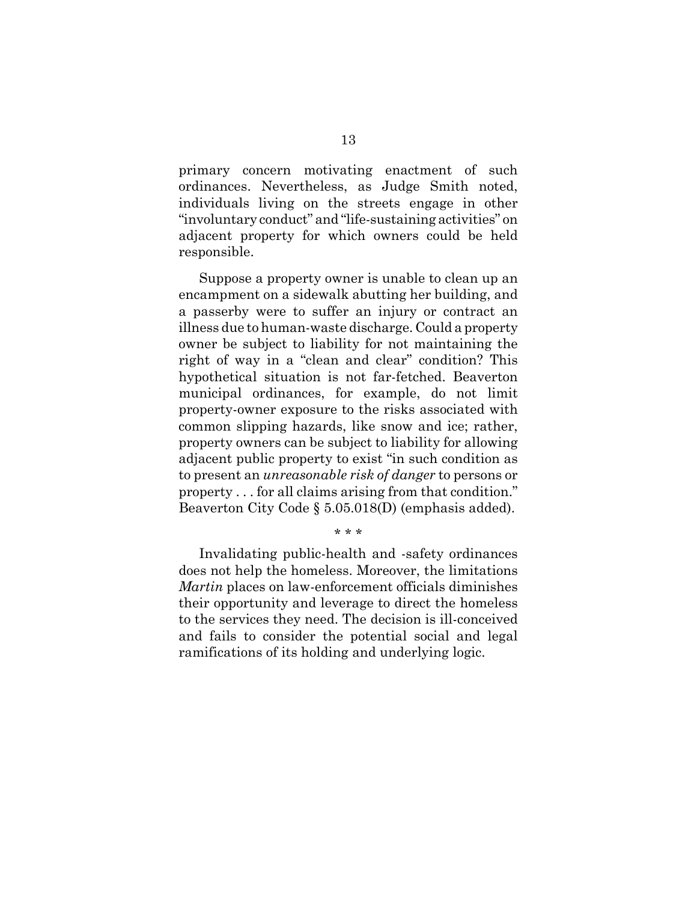primary concern motivating enactment of such ordinances. Nevertheless, as Judge Smith noted, individuals living on the streets engage in other "involuntary conduct" and "life-sustaining activities" on adjacent property for which owners could be held responsible.

Suppose a property owner is unable to clean up an encampment on a sidewalk abutting her building, and a passerby were to suffer an injury or contract an illness due to human-waste discharge. Could a property owner be subject to liability for not maintaining the right of way in a "clean and clear" condition? This hypothetical situation is not far-fetched. Beaverton municipal ordinances, for example, do not limit property-owner exposure to the risks associated with common slipping hazards, like snow and ice; rather, property owners can be subject to liability for allowing adjacent public property to exist "in such condition as to present an *unreasonable risk of danger* to persons or property . . . for all claims arising from that condition." Beaverton City Code § 5.05.018(D) (emphasis added).

#### \* \* \*

Invalidating public-health and -safety ordinances does not help the homeless. Moreover, the limitations *Martin* places on law-enforcement officials diminishes their opportunity and leverage to direct the homeless to the services they need. The decision is ill-conceived and fails to consider the potential social and legal ramifications of its holding and underlying logic.